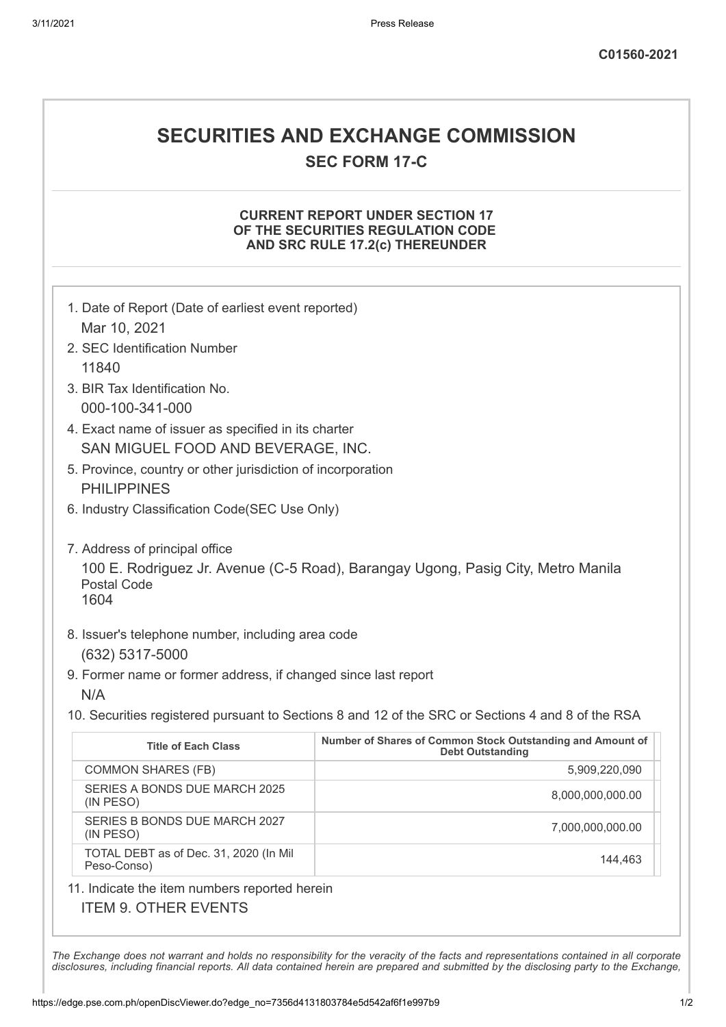## **SECURITIES AND EXCHANGE COMMISSION SEC FORM 17-C**

### **CURRENT REPORT UNDER SECTION 17 OF THE SECURITIES REGULATION CODE AND SRC RULE 17.2(c) THEREUNDER**

| 1. Date of Report (Date of earliest event reported)                                                            |                                                                                       |  |
|----------------------------------------------------------------------------------------------------------------|---------------------------------------------------------------------------------------|--|
| Mar 10, 2021<br>2. SEC Identification Number                                                                   |                                                                                       |  |
| 11840                                                                                                          |                                                                                       |  |
| 3. BIR Tax Identification No.                                                                                  |                                                                                       |  |
| 000-100-341-000                                                                                                |                                                                                       |  |
| 4. Exact name of issuer as specified in its charter                                                            |                                                                                       |  |
| SAN MIGUEL FOOD AND BEVERAGE, INC.                                                                             |                                                                                       |  |
| 5. Province, country or other jurisdiction of incorporation<br><b>PHILIPPINES</b>                              |                                                                                       |  |
| 6. Industry Classification Code(SEC Use Only)                                                                  |                                                                                       |  |
|                                                                                                                |                                                                                       |  |
| 7. Address of principal office                                                                                 |                                                                                       |  |
| 100 E. Rodriguez Jr. Avenue (C-5 Road), Barangay Ugong, Pasig City, Metro Manila<br><b>Postal Code</b><br>1604 |                                                                                       |  |
| 8. Issuer's telephone number, including area code                                                              |                                                                                       |  |
| (632) 5317-5000                                                                                                |                                                                                       |  |
| 9. Former name or former address, if changed since last report                                                 |                                                                                       |  |
| N/A                                                                                                            |                                                                                       |  |
| 10. Securities registered pursuant to Sections 8 and 12 of the SRC or Sections 4 and 8 of the RSA              |                                                                                       |  |
| <b>Title of Each Class</b>                                                                                     | Number of Shares of Common Stock Outstanding and Amount of<br><b>Debt Outstanding</b> |  |
| <b>COMMON SHARES (FB)</b>                                                                                      | 5,909,220,090                                                                         |  |
| SERIES A BONDS DUE MARCH 2025<br>(IN PESO)                                                                     | 8,000,000,000.00                                                                      |  |
| SERIES B BONDS DUE MARCH 2027<br>(IN PESO)                                                                     | 7,000,000,000.00                                                                      |  |
| TOTAL DEBT as of Dec. 31, 2020 (In Mil<br>Peso-Conso)                                                          | 144,463                                                                               |  |
| 11. Indicate the item numbers reported herein                                                                  |                                                                                       |  |

## ITEM 9. OTHER EVENTS

The Exchange does not warrant and holds no responsibility for the veracity of the facts and representations contained in all corporate disclosures, including financial reports. All data contained herein are prepared and submitted by the disclosing party to the Exchange,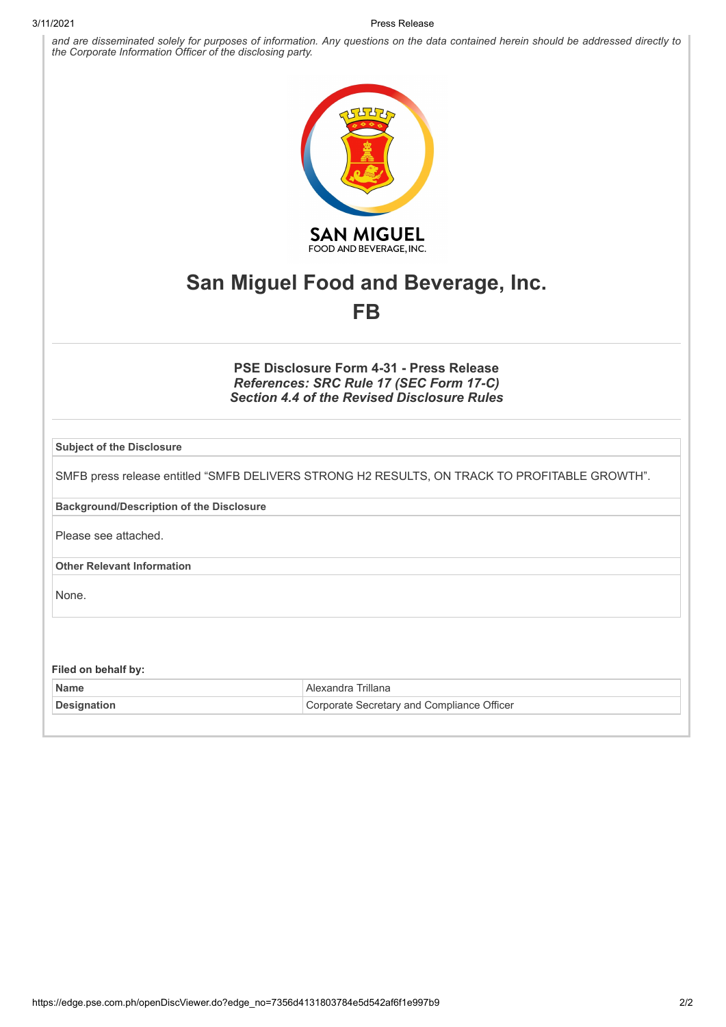#### 3/11/2021 Press Release

and are disseminated solely for purposes of information. Any questions on the data contained herein should be addressed directly to *the Corporate Information Officer of the disclosing party.*



# **San Miguel Food and Beverage, Inc. FB**

## **PSE Disclosure Form 4-31 - Press Release** *References: SRC Rule 17 (SEC Form 17-C) Section 4.4 of the Revised Disclosure Rules*

| <b>Subject of the Disclosure</b>                |                                                                                               |
|-------------------------------------------------|-----------------------------------------------------------------------------------------------|
|                                                 | SMFB press release entitled "SMFB DELIVERS STRONG H2 RESULTS, ON TRACK TO PROFITABLE GROWTH". |
| <b>Background/Description of the Disclosure</b> |                                                                                               |
| Please see attached.                            |                                                                                               |
| <b>Other Relevant Information</b>               |                                                                                               |
| None.                                           |                                                                                               |
|                                                 |                                                                                               |
| Filed on behalf by:                             |                                                                                               |
| <b>Name</b>                                     | Alexandra Trillana                                                                            |
| <b>Designation</b>                              | Corporate Secretary and Compliance Officer                                                    |